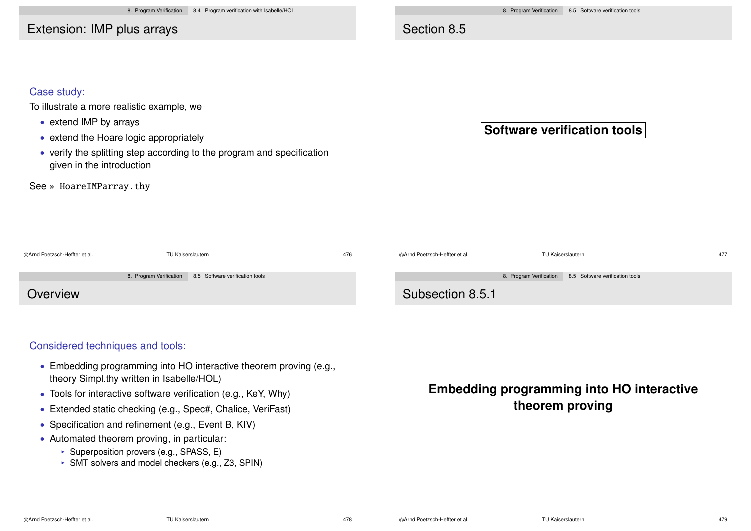Extension: IMP plus arrays

### Section 8.5

#### Case study:

To illustrate a more realistic example, we

- extend IMP by arrays
- extend the Hoare logic appropriately
- verify the splitting step according to the program and specification given in the introduction

See » HoareIMParray.thy

## **Software verification tools**

| @Arnd Poetzsch-Heffter et al. | TU Kaiserslautern |                                                         | 476 | ©Arnd Poetzsch-Heffter et al. | TU Kaiserslautern                                       | 477 |
|-------------------------------|-------------------|---------------------------------------------------------|-----|-------------------------------|---------------------------------------------------------|-----|
|                               |                   | 8. Program Verification 8.5 Software verification tools |     |                               | 8. Program Verification 8.5 Software verification tools |     |
| Overview                      |                   |                                                         |     | Subsection 8.5.1              |                                                         |     |

#### Considered techniques and tools:

- Embedding programming into HO interactive theorem proving (e.g., theory Simpl.thy written in Isabelle/HOL)
- Tools for interactive software verification (e.g., KeY, Why)
- Extended static checking (e.g., Spec#, Chalice, VeriFast)
- Specification and refinement (e.g., Event B, KIV)
- Automated theorem proving, in particular:
	- $\triangleright$  Superposition provers (e.g., SPASS, E)
	- $\triangleright$  SMT solvers and model checkers (e.g., Z3, SPIN)

# **Embedding programming into HO interactive theorem proving**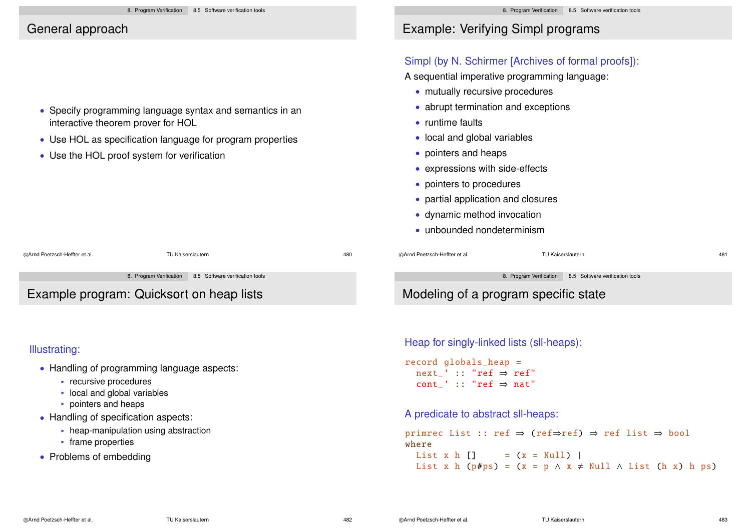### General approach

- Specify programming language syntax and semantics in an interactive theorem prover for HOL
- Use HOL as specification language for program properties
- Use the HOL proof system for verification

Example program: Quicksort on heap lists

#### Illustrating:

- Handling of programming language aspects:
	- $\blacktriangleright$  recursive procedures
	- $\triangleright$  local and global variables
	- $\triangleright$  pointers and heaps
- Handling of specification aspects:
	- $\triangleright$  heap-manipulation using abstraction
	- $\blacktriangleright$  frame properties
- Problems of embedding

# Example: Verifying Simpl programs

### Simpl (by N. Schirmer [Archives of formal proofs]):

A sequential imperative programming language:

- mutually recursive procedures
- abrupt termination and exceptions
- runtime faults
- local and global variables
- pointers and heaps
- expressions with side-effects
- pointers to procedures
- partial application and closures
- dynamic method invocation
- unbounded nondeterminism

©Arnd Poetzsch-Heffter et al. TU Kaiserslautern 480 ©Arnd Poetzsch-Heffter et al. TU Kaiserslautern 481 8. Program Verification 8.5 Software verification tools 8. Program Verification 8.5 Software verification tools Modeling of a program specific state

Heap for singly-linked lists (sll-heaps):

record globals\_heap = next ' :: "ref  $\Rightarrow$  ref" cont<sup>'</sup> :: "ref  $\Rightarrow$  nat"

A predicate to abstract sll-heaps:

primrec List :: ref ⇒ (ref⇒ref) ⇒ ref list ⇒ bool where List x h  $\lceil \cdot \rceil$  =  $(x = Null)$  | List x h (p#ps) =  $(x = p \land x \neq Null \land List (h x) h ps)$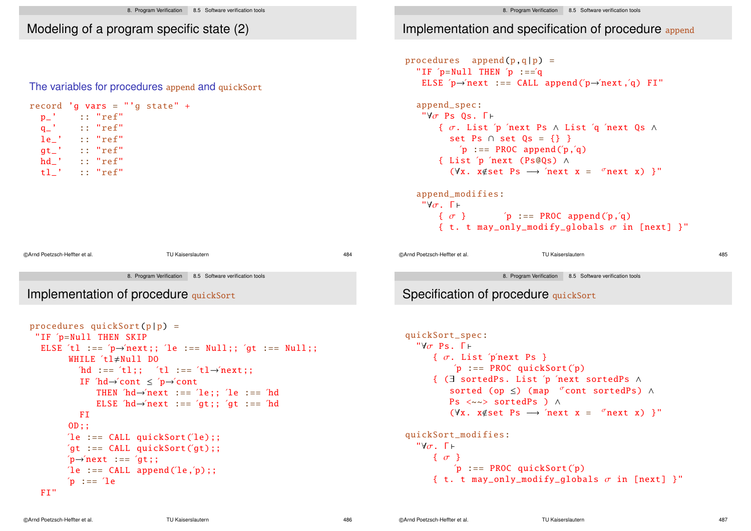## Modeling of a program specific state (2)

#### The variables for procedures append and quickSort

|                               | record 'g vars = "'g state" + |                   |     |
|-------------------------------|-------------------------------|-------------------|-----|
| $p_-'$ ' :: "ref"             |                               |                   |     |
| $q_-'$ :: "ref"               |                               |                   |     |
| $le'_$ :: "ref"               |                               |                   |     |
| $gt_$ ' :: "ref"              |                               |                   |     |
| $hd_$ :: "ref"                |                               |                   |     |
| $t1_$ ' :: "ref"              |                               |                   |     |
|                               |                               |                   |     |
|                               |                               |                   |     |
|                               |                               |                   |     |
|                               |                               |                   |     |
|                               |                               |                   |     |
|                               |                               |                   |     |
| @Arnd Poetzsch-Heffter et al. |                               | TU Kaiserslautern | 484 |

8. Program Verification 8.5 Software verification tools

## Implementation of procedure quickSort

```
procedures quickSort(p|p) =
 "IF ´p=Null THEN SKIP
  ELSE 'tl := p \rightarrow new next;; 'le := Null;; 'qt := Null;;
          WHILE t1 \neq Nu11 DO
             'hd := f't1:; 't1 := f't1 \rightarrow 'next:
            IF hd \rightarrowcont \leq p \rightarrowcont
                 THEN hd \rightarrow next := 2e: 2e: 2e : = 6ELSE 'hd \rightarrow'next := 'qt;; 'qt :== 'hdFI
          OD;;
         'le := CLL quickSort('le);;
          'gt :== CALL quickSort('gt);;
          \Delta<sup>o</sup>\rightarrow<sup>n</sup>ext :== \Delta<sup>o</sup>gt;;
          \text{'le} := \text{CALL} \text{ append}(\text{'le}, \text{'p}):;p := 1eFI"
```
# Implementation and specification of procedure append

```
procedures append(p,q|p) =
   "IF p=Null THEN p := qELSE p \rightarrow newnext :== CALL append(p \rightarrow newnext,q) FI"
   append_spec:
     "Y\sigma Ps 0s. F \vdash{ σ. List ´p ´next Ps ∧ List ´q ´next Qs ∧
              set Ps \cap set 0s = \{\}'p := PROC append('p, 'q){ List ´p ´next (Ps@Qs) ∧
               (\forall x. x \notin set Ps \rightarrow 'next x = 'next x) }"
   append_modifies:
     "Y\sigma. \Gamma \vdash\{\sigma\} \qquad \qquad \qquad \qquad \qquad \qquad \qquad \qquad \qquad \qquad \qquad \qquad \qquad \qquad \qquad \qquad \qquad \qquad \qquad \qquad \qquad \qquad \qquad \qquad \qquad \qquad \qquad \qquad \qquad \qquad \qquad \qquad \qquad \qquad \qquad \q{ t. t may_only_modify_qlobals \sigma in [next] }"
```
©Arnd Poetzsch-Heffter et al. TU Kaiserslautern 485

8. Program Verification 8.5 Software verification tools

## Specification of procedure quickSort

```
quickSort_spec:
  "\forall \sigma Ps. \Gamma \vdash{ \sigma. List 'p'next Ps }
          'p := PROC quickSort('p){ (∃ sortedPs. List ´p ´next sortedPs ∧
          sorted (op \leq) (map \sigma cont sortedPs) \wedgePs <~~> sortedPs ) ∧
          (\forall x. x\notinset Ps \rightarrow 'next x = \sigmanext x) }"
quickSort_modifies:
  "∀σ. Γ \vdash\{\sigma\}p := PROC quickSort(p){ t. t may_only_modify_qlobals \sigma in [next] }"
```